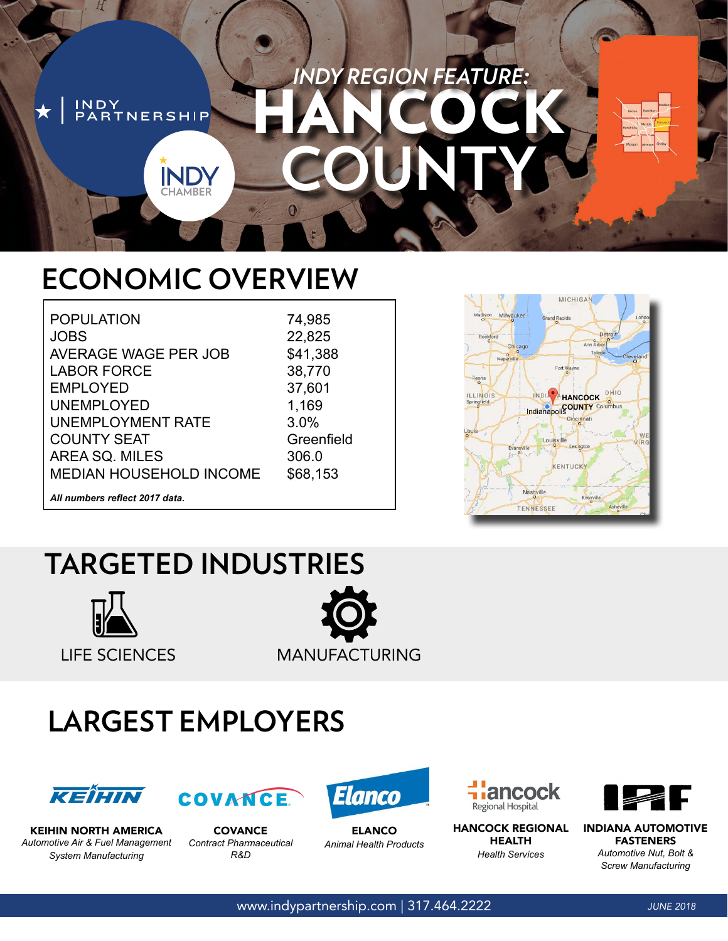## *INDY REGION FEATURE:* HANCOCK NDY<br>PARTNERSHIP **COUNTY IND**

## **ECONOMIC OVERVIEW**

POPULATION JOBS AVERAGE WAGE PER JOB LABOR FORCE EMPLOYED UNEMPLOYED UNEMPLOYMENT RATE COUNTY SEAT AREA SQ. MILES MEDIAN HOUSEHOLD INCOME

74,985 22,825 \$41,388 38,770 37,601 1,169 3.0% Greenfield 306.0 \$68,153



*All numbers reflect 2017 data.*

## **TARGETED INDUSTRIES**



LIFE SCIENCES MANUFACTURING

# **LARGEST EMPLOYERS**





COVANCE *Contract Pharmaceutical R&D*



ELANCO *Animal Health Products*



HANCOCK REGIONAL HEALTH *Health Services*



INDIANA AUTOMOTIVE FASTENERS *Automotive Nut, Bolt & Screw Manufacturing*

KEIHIN NORTH AMERICA *Automotive Air & Fuel Management System Manufacturing*

www.indypartnership.com | 317.464.2222